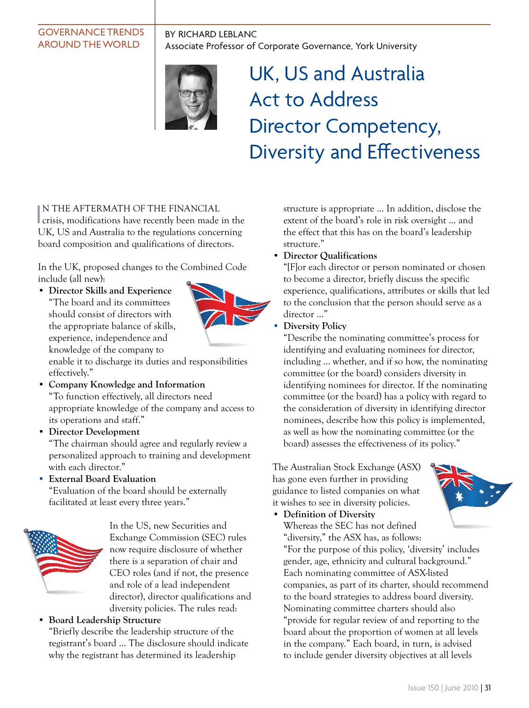### governance trends around the world

By richard leblanc Associate Professor of Corporate Governance, York University



# UK, US and Australia Act to Address Director Competency, Diversity and Effectiveness

IN THE AFTERMATH OF THE FINANCIAL<br>crisis, modifications have recently been made crisis, modifications have recently been made in the UK, US and Australia to the regulations concerning board composition and qualifications of directors.

In the UK, proposed changes to the Combined Code include (all new):

• **Director Skills and Experience** "The board and its committees should consist of directors with the appropriate balance of skills, experience, independence and knowledge of the company to



enable it to discharge its duties and responsibilities effectively."

- **Company Knowledge and Information** "To function effectively, all directors need appropriate knowledge of the company and access to its operations and staff."
- **Director Development**

"The chairman should agree and regularly review a personalized approach to training and development with each director."

• **External Board Evaluation**

"Evaluation of the board should be externally facilitated at least every three years."



In the US, new Securities and Exchange Commission (SEC) rules now require disclosure of whether there is a separation of chair and CEO roles (and if not, the presence and role of a lead independent director), director qualifications and diversity policies. The rules read:

### • **Board Leadership Structure**

"Briefly describe the leadership structure of the registrant's board … The disclosure should indicate why the registrant has determined its leadership

structure is appropriate … In addition, disclose the extent of the board's role in risk oversight … and the effect that this has on the board's leadership structure."

### • **Director Qualifications**

"[F]or each director or person nominated or chosen to become a director, briefly discuss the specific experience, qualifications, attributes or skills that led to the conclusion that the person should serve as a director …"

• **Diversity Policy**

"Describe the nominating committee's process for identifying and evaluating nominees for director, including … whether, and if so how, the nominating committee (or the board) considers diversity in identifying nominees for director. If the nominating committee (or the board) has a policy with regard to the consideration of diversity in identifying director nominees, describe how this policy is implemented, as well as how the nominating committee (or the board) assesses the effectiveness of its policy."

The Australian Stock Exchange (ASX) has gone even further in providing guidance to listed companies on what it wishes to see in diversity policies.

• **Definition of Diversity**

Whereas the SEC has not defined "diversity," the ASX has, as follows:

"For the purpose of this policy, 'diversity' includes gender, age, ethnicity and cultural background." Each nominating committee of ASX-listed companies, as part of its charter, should recommend to the board strategies to address board diversity. Nominating committee charters should also "provide for regular review of and reporting to the board about the proportion of women at all levels in the company." Each board, in turn, is advised to include gender diversity objectives at all levels